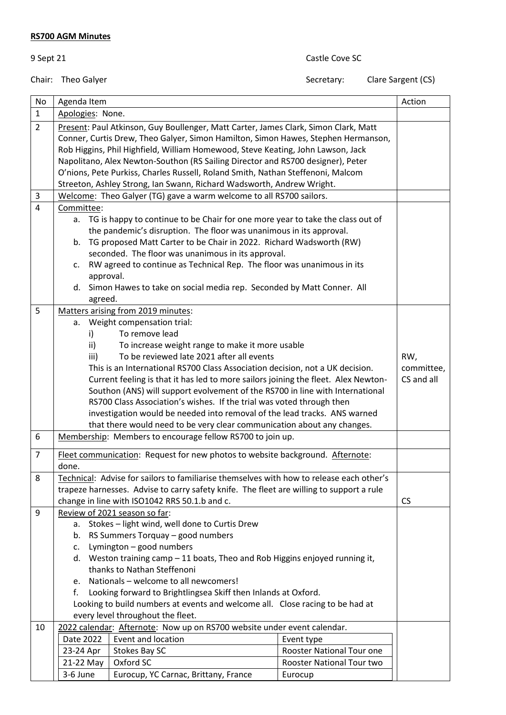9 Sept 21 Castle Cove SC

Chair: Theo Galyer Chair: Theo Galyer Secretary: Clare Sargent (CS)

| No             | Agenda Item                                                                                                                                            |                                                                              |                           | Action            |  |
|----------------|--------------------------------------------------------------------------------------------------------------------------------------------------------|------------------------------------------------------------------------------|---------------------------|-------------------|--|
| $\mathbf{1}$   | Apologies: None.                                                                                                                                       |                                                                              |                           |                   |  |
| $\overline{2}$ | Present: Paul Atkinson, Guy Boullenger, Matt Carter, James Clark, Simon Clark, Matt                                                                    |                                                                              |                           |                   |  |
|                | Conner, Curtis Drew, Theo Galyer, Simon Hamilton, Simon Hawes, Stephen Hermanson,                                                                      |                                                                              |                           |                   |  |
|                | Rob Higgins, Phil Highfield, William Homewood, Steve Keating, John Lawson, Jack                                                                        |                                                                              |                           |                   |  |
|                | Napolitano, Alex Newton-Southon (RS Sailing Director and RS700 designer), Peter                                                                        |                                                                              |                           |                   |  |
|                | O'nions, Pete Purkiss, Charles Russell, Roland Smith, Nathan Steffenoni, Malcom                                                                        |                                                                              |                           |                   |  |
|                | Streeton, Ashley Strong, Ian Swann, Richard Wadsworth, Andrew Wright.                                                                                  |                                                                              |                           |                   |  |
| $\mathsf{3}$   | Welcome: Theo Galyer (TG) gave a warm welcome to all RS700 sailors.                                                                                    |                                                                              |                           |                   |  |
| $\overline{4}$ | Committee:                                                                                                                                             |                                                                              |                           |                   |  |
|                | a. TG is happy to continue to be Chair for one more year to take the class out of                                                                      |                                                                              |                           |                   |  |
|                | the pandemic's disruption. The floor was unanimous in its approval.                                                                                    |                                                                              |                           |                   |  |
|                |                                                                                                                                                        | b. TG proposed Matt Carter to be Chair in 2022. Richard Wadsworth (RW)       |                           |                   |  |
|                | seconded. The floor was unanimous in its approval.                                                                                                     |                                                                              |                           |                   |  |
|                | RW agreed to continue as Technical Rep. The floor was unanimous in its<br>c.                                                                           |                                                                              |                           |                   |  |
|                | approval.                                                                                                                                              |                                                                              |                           |                   |  |
|                | d. Simon Hawes to take on social media rep. Seconded by Matt Conner. All                                                                               |                                                                              |                           |                   |  |
|                | agreed.                                                                                                                                                |                                                                              |                           |                   |  |
| 5              | Matters arising from 2019 minutes:                                                                                                                     |                                                                              |                           |                   |  |
|                | a. Weight compensation trial:                                                                                                                          |                                                                              |                           |                   |  |
|                | To remove lead<br>i)                                                                                                                                   |                                                                              |                           |                   |  |
|                | ii)<br>To increase weight range to make it more usable                                                                                                 |                                                                              |                           |                   |  |
|                | To be reviewed late 2021 after all events<br>iii)                                                                                                      |                                                                              |                           | RW,<br>committee, |  |
|                | This is an International RS700 Class Association decision, not a UK decision.                                                                          |                                                                              |                           |                   |  |
|                | CS and all<br>Current feeling is that it has led to more sailors joining the fleet. Alex Newton-                                                       |                                                                              |                           |                   |  |
|                | Southon (ANS) will support evolvement of the RS700 in line with International<br>RS700 Class Association's wishes. If the trial was voted through then |                                                                              |                           |                   |  |
|                | investigation would be needed into removal of the lead tracks. ANS warned                                                                              |                                                                              |                           |                   |  |
|                | that there would need to be very clear communication about any changes.                                                                                |                                                                              |                           |                   |  |
| 6              | Membership: Members to encourage fellow RS700 to join up.                                                                                              |                                                                              |                           |                   |  |
| $\overline{7}$ | Fleet communication: Request for new photos to website background. Afternote:                                                                          |                                                                              |                           |                   |  |
|                | done.                                                                                                                                                  |                                                                              |                           |                   |  |
| 8              | Technical: Advise for sailors to familiarise themselves with how to release each other's                                                               |                                                                              |                           |                   |  |
|                | trapeze harnesses. Advise to carry safety knife. The fleet are willing to support a rule                                                               |                                                                              |                           |                   |  |
|                | <b>CS</b><br>change in line with ISO1042 RRS 50.1.b and c.                                                                                             |                                                                              |                           |                   |  |
| 9              | Review of 2021 season so far:                                                                                                                          |                                                                              |                           |                   |  |
|                | Stokes - light wind, well done to Curtis Drew<br>а.                                                                                                    |                                                                              |                           |                   |  |
|                | b. RS Summers Torquay - good numbers                                                                                                                   |                                                                              |                           |                   |  |
|                | c. Lymington - good numbers                                                                                                                            |                                                                              |                           |                   |  |
|                |                                                                                                                                                        | d. Weston training camp - 11 boats, Theo and Rob Higgins enjoyed running it, |                           |                   |  |
|                | thanks to Nathan Steffenoni                                                                                                                            |                                                                              |                           |                   |  |
|                |                                                                                                                                                        | e. Nationals - welcome to all newcomers!                                     |                           |                   |  |
|                | Looking forward to Brightlingsea Skiff then Inlands at Oxford.<br>f.                                                                                   |                                                                              |                           |                   |  |
|                | Looking to build numbers at events and welcome all. Close racing to be had at                                                                          |                                                                              |                           |                   |  |
|                | every level throughout the fleet.                                                                                                                      |                                                                              |                           |                   |  |
| 10             | 2022 calendar: Afternote: Now up on RS700 website under event calendar.                                                                                |                                                                              |                           |                   |  |
|                | Date 2022                                                                                                                                              | Event and location                                                           | Event type                |                   |  |
|                | 23-24 Apr                                                                                                                                              | Stokes Bay SC<br>Oxford SC                                                   | Rooster National Tour one |                   |  |
|                | 21-22 May                                                                                                                                              |                                                                              | Rooster National Tour two |                   |  |
|                | 3-6 June                                                                                                                                               | Eurocup, YC Carnac, Brittany, France                                         | Eurocup                   |                   |  |